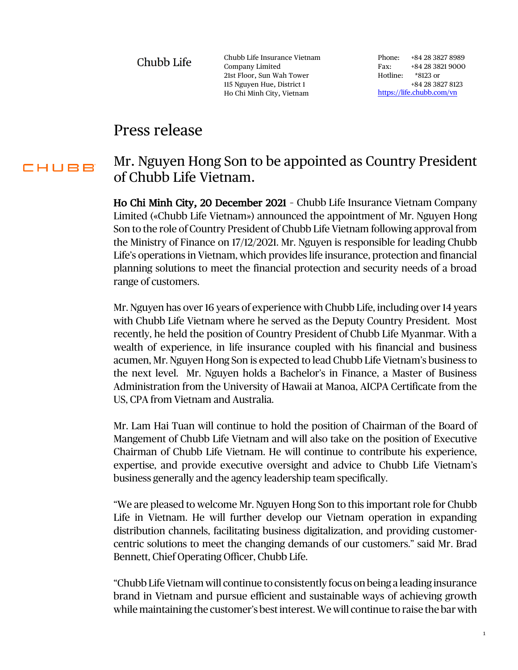Chubb Life

Chubb Life Insurance Vietnam Company Limited 21st Floor, Sun Wah Tower 115 Nguyen Hue, District 1 Ho Chi Minh City, Vietnam

Phone: +84 28 3827 8989 Fax: +84 28 3821 9000 Hotline: \*8123 or +84 28 3827 8123 <https://life.chubb.com/vn>

## Press release

## Mr. Nguyen Hong Son to be appointed as Country President CHUBB of Chubb Life Vietnam.

Ho Chi Minh City, 20 December 2021 – Chubb Life Insurance Vietnam Company Limited («Chubb Life Vietnam») announced the appointment of Mr. Nguyen Hong Son to the role of Country President of Chubb Life Vietnam following approval from the Ministry of Finance on 17/12/2021. Mr. Nguyen is responsible for leading Chubb Life's operations in Vietnam, which provides life insurance, protection and financial planning solutions to meet the financial protection and security needs of a broad range of customers.

Mr. Nguyen has over 16 years of experience with Chubb Life, including over 14 years with Chubb Life Vietnam where he served as the Deputy Country President. Most recently, he held the position of Country President of Chubb Life Myanmar. With a wealth of experience, in life insurance coupled with his financial and business acumen, Mr. Nguyen Hong Son is expected to lead Chubb Life Vietnam's business to the next level. Mr. Nguyen holds a Bachelor's in Finance, a Master of Business Administration from the University of Hawaii at Manoa, AICPA Certificate from the US, CPA from Vietnam and Australia.

Mr. Lam Hai Tuan will continue to hold the position of Chairman of the Board of Mangement of Chubb Life Vietnam and will also take on the position of Executive Chairman of Chubb Life Vietnam. He will continue to contribute his experience, expertise, and provide executive oversight and advice to Chubb Life Vietnam's business generally and the agency leadership team specifically.

"We are pleased to welcome Mr. Nguyen Hong Son to this important role for Chubb Life in Vietnam. He will further develop our Vietnam operation in expanding distribution channels, facilitating business digitalization, and providing customercentric solutions to meet the changing demands of our customers." said Mr. Brad Bennett, Chief Operating Officer, Chubb Life.

"Chubb Life Vietnam will continue to consistently focus on being a leading insurance brand in Vietnam and pursue efficient and sustainable ways of achieving growth while maintaining the customer's best interest. We will continue to raise the bar with